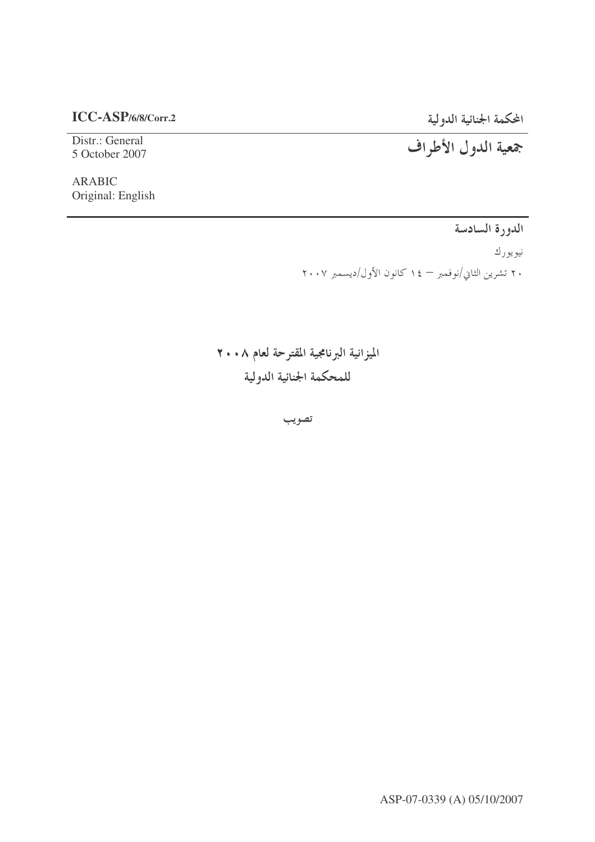## $ICC-ASP/6/8/Corr.2$

## المحكمة الجنائية الدولية

Distr.: General 5 October 2007

## جمعية الدول الأطراف

**ARABIC** Original: English

الدورة السادسة

نيويورك

۲۰ تشرین الثانی/نوفمبر — ۱٤ کانون الأول/دیسمبر ۲۰۰۷

الميزانية البرنامجية المقترحة لعام ٢٠٠٨ للمحكمة الجنائية الدولية

تصويب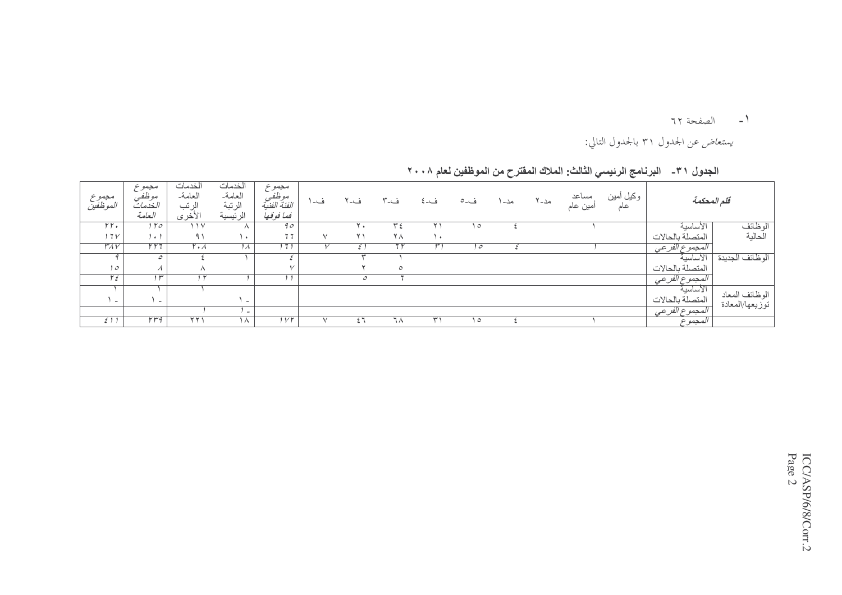1- الصفحة ٦٢

يستع*اض* عن الجدول ٣١ بالجدول التالي:

|                 | قلم المحكمة      | وكبل أمين<br>عاد | مساعد<br>امين عام | مد۔ ۲ | مد۔ ا | ف۔٥     | ف۔ ٤      | ف-۳            | ف-٢           | ف۔     | مجموع<br>موظفي<br>الفئة الفنية<br>فما فوقها | الخدمات<br>العامة<br>الرتبة<br>الرئيسية | الخدمات<br>العامة<br>الرتب<br>الأخرى | مجموع<br>موظفي<br>الخدمات<br>العلمة | مجموع<br><i>المو</i> ظفين |
|-----------------|------------------|------------------|-------------------|-------|-------|---------|-----------|----------------|---------------|--------|---------------------------------------------|-----------------------------------------|--------------------------------------|-------------------------------------|---------------------------|
| الوظائف         | الاساسية         |                  |                   |       |       | $\circ$ |           | ٣ź             | i ∗           |        | 90                                          |                                         | ۱۱۷                                  | $1 r_0$                             | rr.                       |
| الكالية         | المتصلة بالحالات |                  |                   |       |       |         | $\lambda$ | ٢٨             | ۲۱            | $\vee$ | 77                                          | $\rightarrow$                           | 91                                   | , , ,                               | 17 <sub>V</sub>           |
|                 | المجموع الفر عي  |                  |                   |       |       | ہ ا     |           | 7 <sub>r</sub> | ٤             |        | 171                                         | $\lambda$                               | $\mathsf{r} \cdot \mathsf{\Lambda}$  | $\overline{r\,r\,7}$                | $\overline{r_{AV}}$       |
| الوظائف الجديدة | الأساسية         |                  |                   |       |       |         |           |                |               |        |                                             |                                         |                                      | $\mathcal{O}$                       |                           |
|                 | المتصلة بالحالات |                  |                   |       |       |         |           | $\circ$        |               |        |                                             |                                         | $\wedge$                             | $\overline{\mathcal{A}}$            | ہ (                       |
|                 | المجموع الفرعى   |                  |                   |       |       |         |           |                | $\mathcal{O}$ |        |                                             |                                         | ا ۲                                  | $\overline{\mathfrak{f}^{\mu}}$     | مع ۲                      |
| الوظائف المعاد  | الأساسية         |                  |                   |       |       |         |           |                |               |        |                                             |                                         |                                      |                                     |                           |
| توزيعها/المعادة | المتصلة بالحالات |                  |                   |       |       |         |           |                |               |        |                                             | $\overline{\phantom{0}}$                |                                      | $\sim$                              | $\sim$                    |
|                 | المجموع الفرعي   |                  |                   |       |       |         |           |                |               |        |                                             | $\sim$                                  |                                      |                                     |                           |
|                 | المجموع          |                  |                   |       |       | $\circ$ | ۳۰        | ٦٨             | ٤٦            |        | $1\vee\uparrow$                             | $\Lambda$                               | ۲۲۱                                  | rrq                                 | 511                       |

الجدول ٣١ ـــــ البرنامج الرئيسي الثالث: الملاك المفترح من الموظفين لعام ٢٠٠٨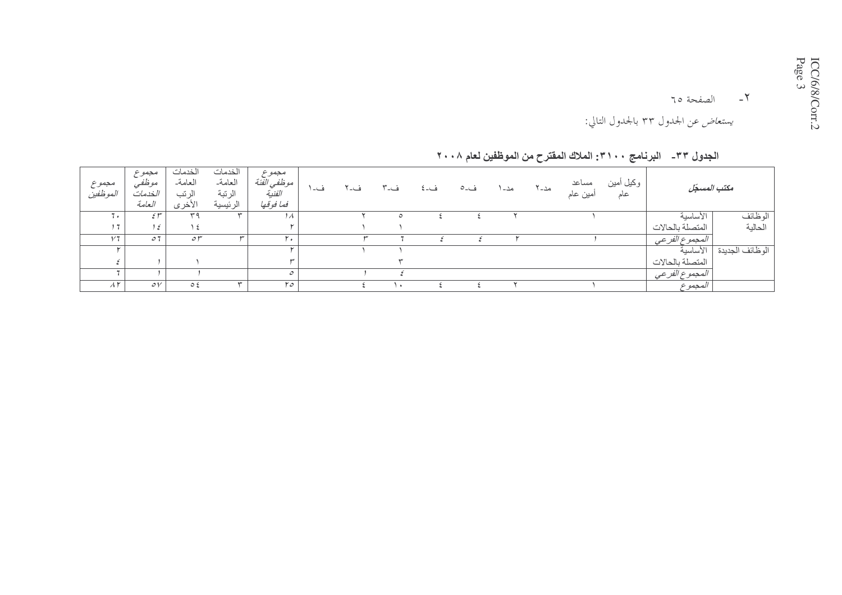يستع*اض* عن الجدول ٣٣ بالجدول التالي:

الجدول ٣٣\_ البرنامج ٣١٠٠: الملاك المفترح من الموظفين لعام ٢٠٠٨

| مجموع<br>الموظفين       | مجموع<br>موظفيً<br>الخدمات<br>العامة | الخدمات<br>العامة<br>الرتب<br>الأخرى | الخدمات<br>العامة<br>الرتبة<br>الرئيسية | مجموع<br>موظفي الفئة<br>الفنية<br>فما فوقها | ف- ۱ | ف-۲ | ف-۳       | ف۔ ځ | ف۔ ہ | مد۔ ا | مد۔ ۲ | مساعد<br>أمين عام | وكبل أمين<br>عام | مكتب المسكل      |                 |
|-------------------------|--------------------------------------|--------------------------------------|-----------------------------------------|---------------------------------------------|------|-----|-----------|------|------|-------|-------|-------------------|------------------|------------------|-----------------|
| . .                     | 5r                                   | ۳۹                                   | $\overline{\phantom{a}}$                | 1 A                                         |      |     | ٥         |      |      |       |       |                   |                  | الأساسية         | الوظائف         |
| $+ 7.$                  | 15                                   | ع ۱                                  |                                         |                                             |      |     |           |      |      |       |       |                   |                  | المتصلة بالحالات | الحالية         |
| 1/7                     | $\circ$ 7                            | $\circ r$                            | سە                                      | ۲.                                          |      |     |           |      |      |       |       |                   |                  | المجموع الفر عي  |                 |
|                         |                                      |                                      |                                         |                                             |      |     |           |      |      |       |       |                   |                  | الأساسية         | الوطائف الجديدة |
|                         |                                      |                                      |                                         |                                             |      |     |           |      |      |       |       |                   |                  | المتصلة بالحالات |                 |
|                         |                                      |                                      |                                         | $\mathcal{O}$                               |      |     |           |      |      |       |       |                   |                  | المجموع الفر عي  |                 |
| $\Lambda \, \mathsf{r}$ | $\circ \vee$                         | $\circ$ ź                            | ₩                                       | ٢٥                                          |      |     | $\bullet$ |      |      |       |       |                   |                  | المجموع          |                 |